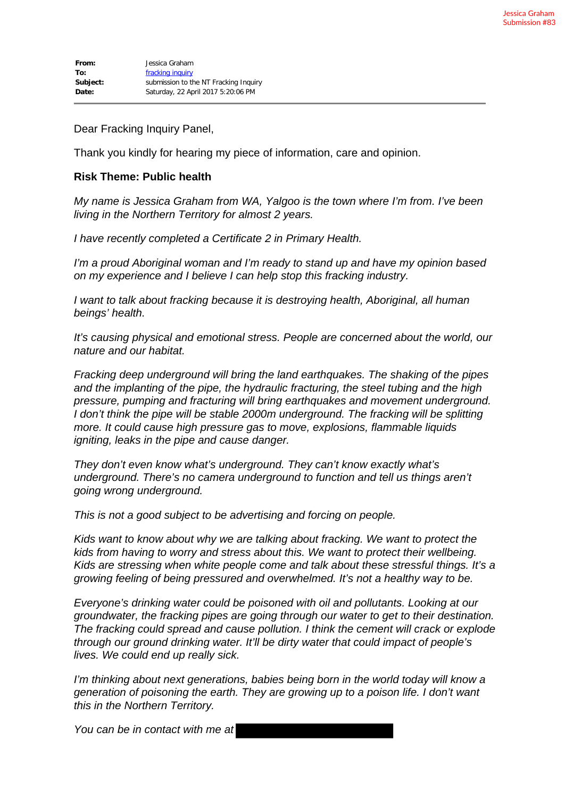Dear Fracking Inquiry Panel,

Thank you kindly for hearing my piece of information, care and opinion.

## **Risk Theme: Public health**

*My name is Jessica Graham from WA, Yalgoo is the town where I'm from. I've been living in the Northern Territory for almost 2 years.*

*I have recently completed a Certificate 2 in Primary Health.*

*I'm a proud Aboriginal woman and I'm ready to stand up and have my opinion based on my experience and I believe I can help stop this fracking industry.*

*I want to talk about fracking because it is destroying health, Aboriginal, all human beings' health.*

*It's causing physical and emotional stress. People are concerned about the world, our nature and our habitat.*

*Fracking deep underground will bring the land earthquakes. The shaking of the pipes and the implanting of the pipe, the hydraulic fracturing, the steel tubing and the high pressure, pumping and fracturing will bring earthquakes and movement underground. I don't think the pipe will be stable 2000m underground. The fracking will be splitting more. It could cause high pressure gas to move, explosions, flammable liquids igniting, leaks in the pipe and cause danger.*

*They don't even know what's underground. They can't know exactly what's underground. There's no camera underground to function and tell us things aren't going wrong underground.*

*This is not a good subject to be advertising and forcing on people.*

*Kids want to know about why we are talking about fracking. We want to protect the kids from having to worry and stress about this. We want to protect their wellbeing. Kids are stressing when white people come and talk about these stressful things. It's a growing feeling of being pressured and overwhelmed. It's not a healthy way to be.*

*Everyone's drinking water could be poisoned with oil and pollutants. Looking at our groundwater, the fracking pipes are going through our water to get to their destination. The fracking could spread and cause pollution. I think the cement will crack or explode through our ground drinking water. It'll be dirty water that could impact of people's lives. We could end up really sick.*

*I'm thinking about next generations, babies being born in the world today will know a generation of poisoning the earth. They are growing up to a poison life. I don't want this in the Northern Territory.*

*You can be in contact with me at*